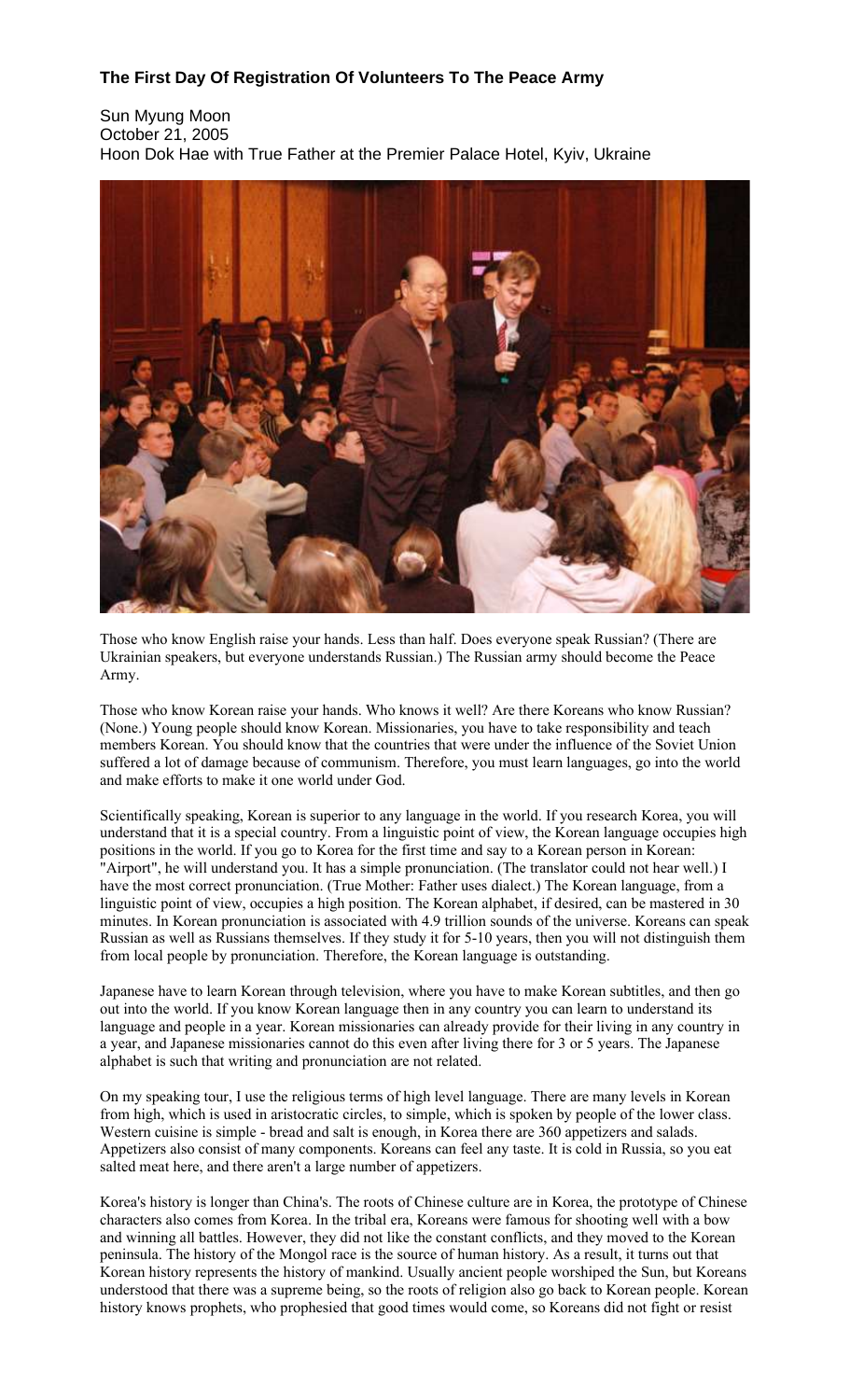## **The First Day Of Registration Of Volunteers To The Peace Army**

Sun Myung Moon October 21, 2005 Hoon Dok Hae with True Father at the Premier Palace Hotel, Kyiv, Ukraine



Those who know English raise your hands. Less than half. Does everyone speak Russian? (There are Ukrainian speakers, but everyone understands Russian.) The Russian army should become the Peace Army.

Those who know Korean raise your hands. Who knows it well? Are there Koreans who know Russian? (None.) Young people should know Korean. Missionaries, you have to take responsibility and teach members Korean. You should know that the countries that were under the influence of the Soviet Union suffered a lot of damage because of communism. Therefore, you must learn languages, go into the world and make efforts to make it one world under God.

Scientifically speaking, Korean is superior to any language in the world. If you research Korea, you will understand that it is a special country. From a linguistic point of view, the Korean language occupies high positions in the world. If you go to Korea for the first time and say to a Korean person in Korean: "Airport", he will understand you. It has a simple pronunciation. (The translator could not hear well.) I have the most correct pronunciation. (True Mother: Father uses dialect.) The Korean language, from a linguistic point of view, occupies a high position. The Korean alphabet, if desired, can be mastered in 30 minutes. In Korean pronunciation is associated with 4.9 trillion sounds of the universe. Koreans can speak Russian as well as Russians themselves. If they study it for 5-10 years, then you will not distinguish them from local people by pronunciation. Therefore, the Korean language is outstanding.

Japanese have to learn Korean through television, where you have to make Korean subtitles, and then go out into the world. If you know Korean language then in any country you can learn to understand its language and people in a year. Korean missionaries can already provide for their living in any country in a year, and Japanese missionaries cannot do this even after living there for 3 or 5 years. The Japanese alphabet is such that writing and pronunciation are not related.

On my speaking tour, I use the religious terms of high level language. There are many levels in Korean from high, which is used in aristocratic circles, to simple, which is spoken by people of the lower class. Western cuisine is simple - bread and salt is enough, in Korea there are 360 appetizers and salads. Appetizers also consist of many components. Koreans can feel any taste. It is cold in Russia, so you eat salted meat here, and there aren't a large number of appetizers.

Korea's history is longer than China's. The roots of Chinese culture are in Korea, the prototype of Chinese characters also comes from Korea. In the tribal era, Koreans were famous for shooting well with a bow and winning all battles. However, they did not like the constant conflicts, and they moved to the Korean peninsula. The history of the Mongol race is the source of human history. As a result, it turns out that Korean history represents the history of mankind. Usually ancient people worshiped the Sun, but Koreans understood that there was a supreme being, so the roots of religion also go back to Korean people. Korean history knows prophets, who prophesied that good times would come, so Koreans did not fight or resist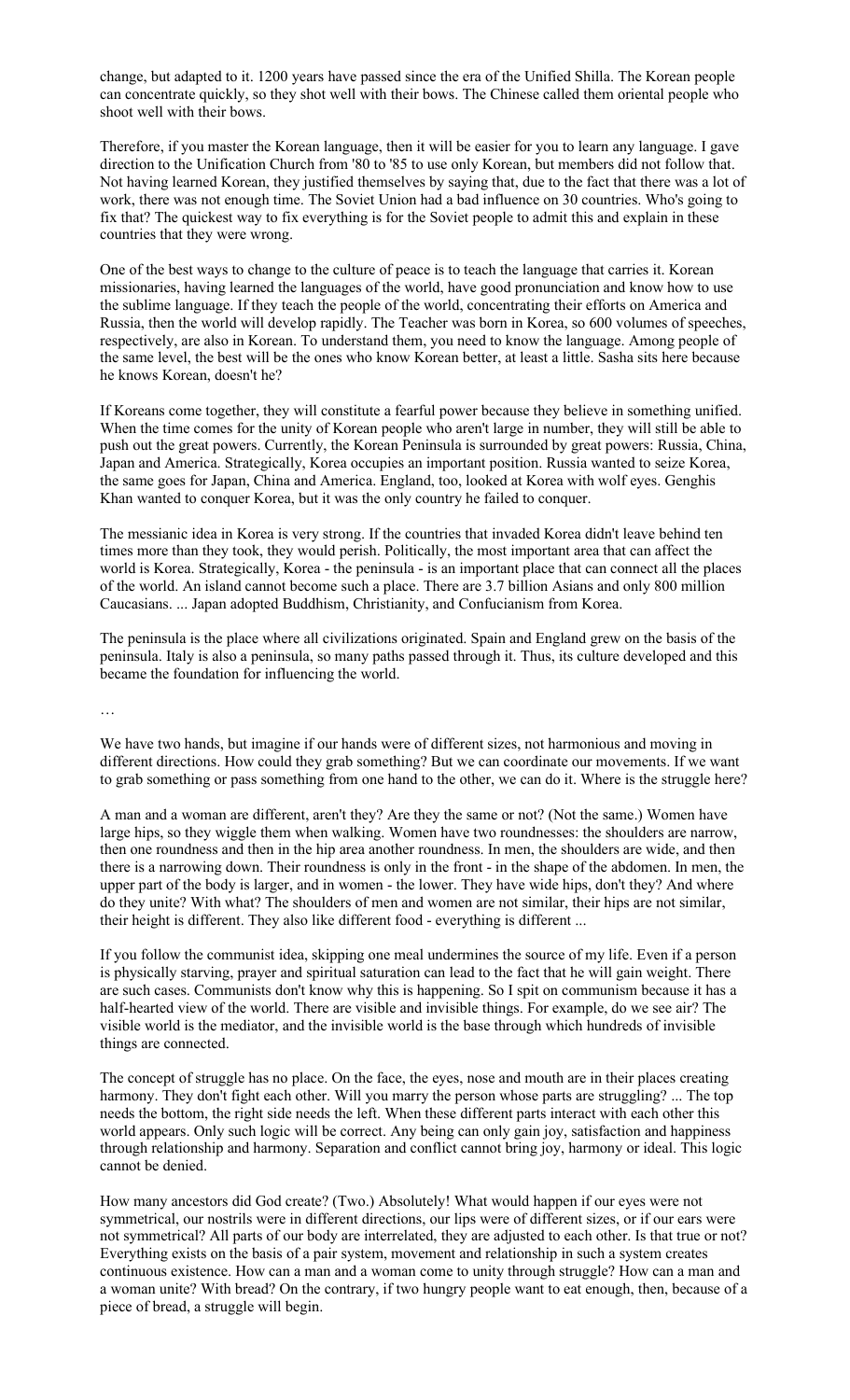change, but adapted to it. 1200 years have passed since the era of the Unified Shilla. The Korean people can concentrate quickly, so they shot well with their bows. The Chinese called them oriental people who shoot well with their bows.

Therefore, if you master the Korean language, then it will be easier for you to learn any language. I gave direction to the Unification Church from '80 to '85 to use only Korean, but members did not follow that. Not having learned Korean, they justified themselves by saying that, due to the fact that there was a lot of work, there was not enough time. The Soviet Union had a bad influence on 30 countries. Who's going to fix that? The quickest way to fix everything is for the Soviet people to admit this and explain in these countries that they were wrong.

One of the best ways to change to the culture of peace is to teach the language that carries it. Korean missionaries, having learned the languages of the world, have good pronunciation and know how to use the sublime language. If they teach the people of the world, concentrating their efforts on America and Russia, then the world will develop rapidly. The Teacher was born in Korea, so 600 volumes of speeches, respectively, are also in Korean. To understand them, you need to know the language. Among people of the same level, the best will be the ones who know Korean better, at least a little. Sasha sits here because he knows Korean, doesn't he?

If Koreans come together, they will constitute a fearful power because they believe in something unified. When the time comes for the unity of Korean people who aren't large in number, they will still be able to push out the great powers. Currently, the Korean Peninsula is surrounded by great powers: Russia, China, Japan and America. Strategically, Korea occupies an important position. Russia wanted to seize Korea, the same goes for Japan, China and America. England, too, looked at Korea with wolf eyes. Genghis Khan wanted to conquer Korea, but it was the only country he failed to conquer.

The messianic idea in Korea is very strong. If the countries that invaded Korea didn't leave behind ten times more than they took, they would perish. Politically, the most important area that can affect the world is Korea. Strategically, Korea - the peninsula - is an important place that can connect all the places of the world. An island cannot become such a place. There are 3.7 billion Asians and only 800 million Caucasians. ... Japan adopted Buddhism, Christianity, and Confucianism from Korea.

The peninsula is the place where all civilizations originated. Spain and England grew on the basis of the peninsula. Italy is also a peninsula, so many paths passed through it. Thus, its culture developed and this became the foundation for influencing the world.

…

We have two hands, but imagine if our hands were of different sizes, not harmonious and moving in different directions. How could they grab something? But we can coordinate our movements. If we want to grab something or pass something from one hand to the other, we can do it. Where is the struggle here?

A man and a woman are different, aren't they? Are they the same or not? (Not the same.) Women have large hips, so they wiggle them when walking. Women have two roundnesses: the shoulders are narrow, then one roundness and then in the hip area another roundness. In men, the shoulders are wide, and then there is a narrowing down. Their roundness is only in the front - in the shape of the abdomen. In men, the upper part of the body is larger, and in women - the lower. They have wide hips, don't they? And where do they unite? With what? The shoulders of men and women are not similar, their hips are not similar, their height is different. They also like different food - everything is different ...

If you follow the communist idea, skipping one meal undermines the source of my life. Even if a person is physically starving, prayer and spiritual saturation can lead to the fact that he will gain weight. There are such cases. Communists don't know why this is happening. So I spit on communism because it has a half-hearted view of the world. There are visible and invisible things. For example, do we see air? The visible world is the mediator, and the invisible world is the base through which hundreds of invisible things are connected.

The concept of struggle has no place. On the face, the eyes, nose and mouth are in their places creating harmony. They don't fight each other. Will you marry the person whose parts are struggling? ... The top needs the bottom, the right side needs the left. When these different parts interact with each other this world appears. Only such logic will be correct. Any being can only gain joy, satisfaction and happiness through relationship and harmony. Separation and conflict cannot bring joy, harmony or ideal. This logic cannot be denied.

How many ancestors did God create? (Two.) Absolutely! What would happen if our eyes were not symmetrical, our nostrils were in different directions, our lips were of different sizes, or if our ears were not symmetrical? All parts of our body are interrelated, they are adjusted to each other. Is that true or not? Everything exists on the basis of a pair system, movement and relationship in such a system creates continuous existence. How can a man and a woman come to unity through struggle? How can a man and a woman unite? With bread? On the contrary, if two hungry people want to eat enough, then, because of a piece of bread, a struggle will begin.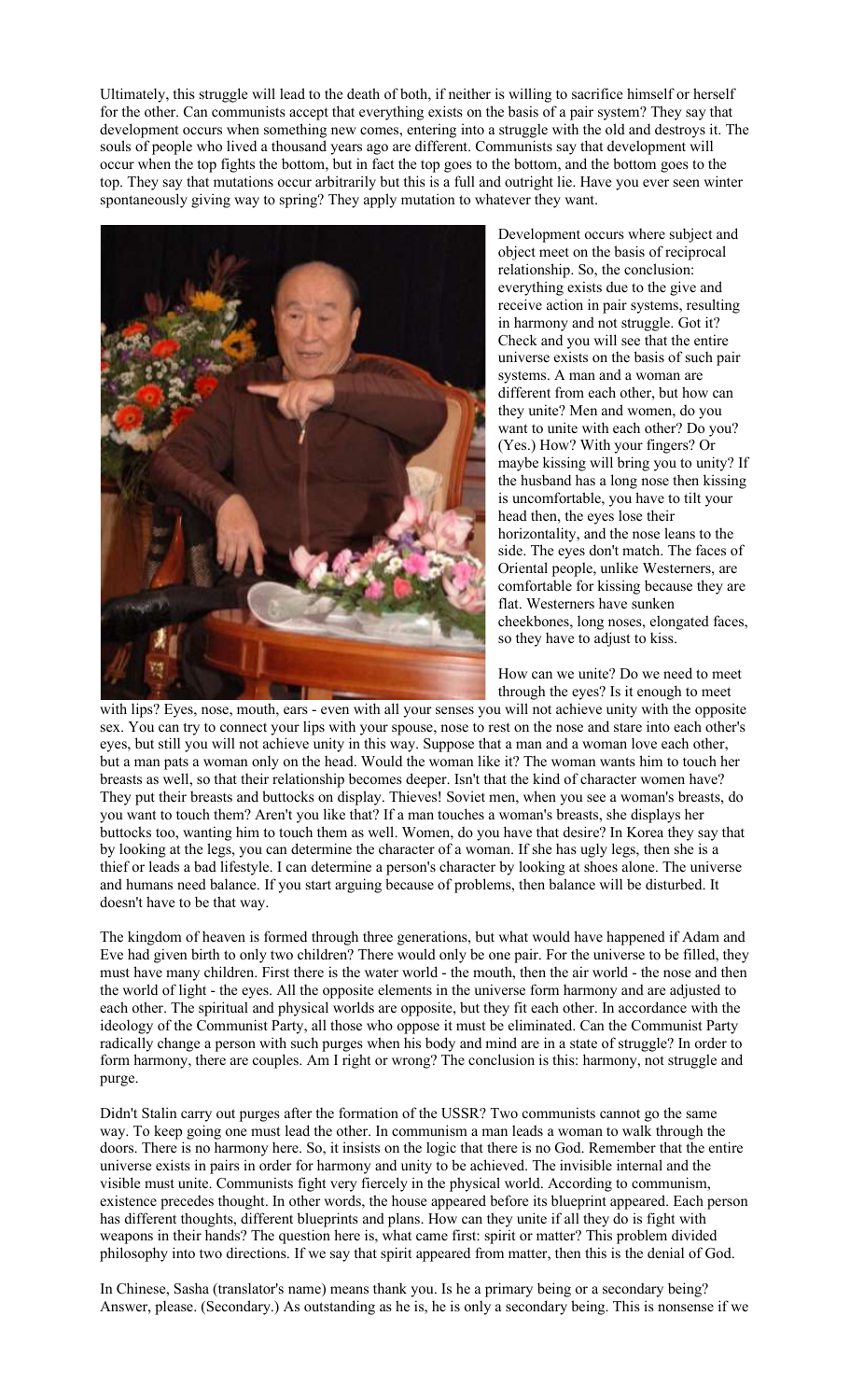Ultimately, this struggle will lead to the death of both, if neither is willing to sacrifice himself or herself for the other. Can communists accept that everything exists on the basis of a pair system? They say that development occurs when something new comes, entering into a struggle with the old and destroys it. The souls of people who lived a thousand years ago are different. Communists say that development will occur when the top fights the bottom, but in fact the top goes to the bottom, and the bottom goes to the top. They say that mutations occur arbitrarily but this is a full and outright lie. Have you ever seen winter spontaneously giving way to spring? They apply mutation to whatever they want.



Development occurs where subject and object meet on the basis of reciprocal relationship. So, the conclusion: everything exists due to the give and receive action in pair systems, resulting in harmony and not struggle. Got it? Check and you will see that the entire universe exists on the basis of such pair systems. A man and a woman are different from each other, but how can they unite? Men and women, do you want to unite with each other? Do you? (Yes.) How? With your fingers? Or maybe kissing will bring you to unity? If the husband has a long nose then kissing is uncomfortable, you have to tilt your head then, the eyes lose their horizontality, and the nose leans to the side. The eyes don't match. The faces of Oriental people, unlike Westerners, are comfortable for kissing because they are flat. Westerners have sunken cheekbones, long noses, elongated faces, so they have to adjust to kiss.

How can we unite? Do we need to meet through the eyes? Is it enough to meet

with lips? Eyes, nose, mouth, ears - even with all your senses you will not achieve unity with the opposite sex. You can try to connect your lips with your spouse, nose to rest on the nose and stare into each other's eyes, but still you will not achieve unity in this way. Suppose that a man and a woman love each other, but a man pats a woman only on the head. Would the woman like it? The woman wants him to touch her breasts as well, so that their relationship becomes deeper. Isn't that the kind of character women have? They put their breasts and buttocks on display. Thieves! Soviet men, when you see a woman's breasts, do you want to touch them? Aren't you like that? If a man touches a woman's breasts, she displays her buttocks too, wanting him to touch them as well. Women, do you have that desire? In Korea they say that by looking at the legs, you can determine the character of a woman. If she has ugly legs, then she is a thief or leads a bad lifestyle. I can determine a person's character by looking at shoes alone. The universe and humans need balance. If you start arguing because of problems, then balance will be disturbed. It doesn't have to be that way.

The kingdom of heaven is formed through three generations, but what would have happened if Adam and Eve had given birth to only two children? There would only be one pair. For the universe to be filled, they must have many children. First there is the water world - the mouth, then the air world - the nose and then the world of light - the eyes. All the opposite elements in the universe form harmony and are adjusted to each other. The spiritual and physical worlds are opposite, but they fit each other. In accordance with the ideology of the Communist Party, all those who oppose it must be eliminated. Can the Communist Party radically change a person with such purges when his body and mind are in a state of struggle? In order to form harmony, there are couples. Am I right or wrong? The conclusion is this: harmony, not struggle and purge.

Didn't Stalin carry out purges after the formation of the USSR? Two communists cannot go the same way. To keep going one must lead the other. In communism a man leads a woman to walk through the doors. There is no harmony here. So, it insists on the logic that there is no God. Remember that the entire universe exists in pairs in order for harmony and unity to be achieved. The invisible internal and the visible must unite. Communists fight very fiercely in the physical world. According to communism, existence precedes thought. In other words, the house appeared before its blueprint appeared. Each person has different thoughts, different blueprints and plans. How can they unite if all they do is fight with weapons in their hands? The question here is, what came first: spirit or matter? This problem divided philosophy into two directions. If we say that spirit appeared from matter, then this is the denial of God.

In Chinese, Sasha (translator's name) means thank you. Is he a primary being or a secondary being? Answer, please. (Secondary.) As outstanding as he is, he is only a secondary being. This is nonsense if we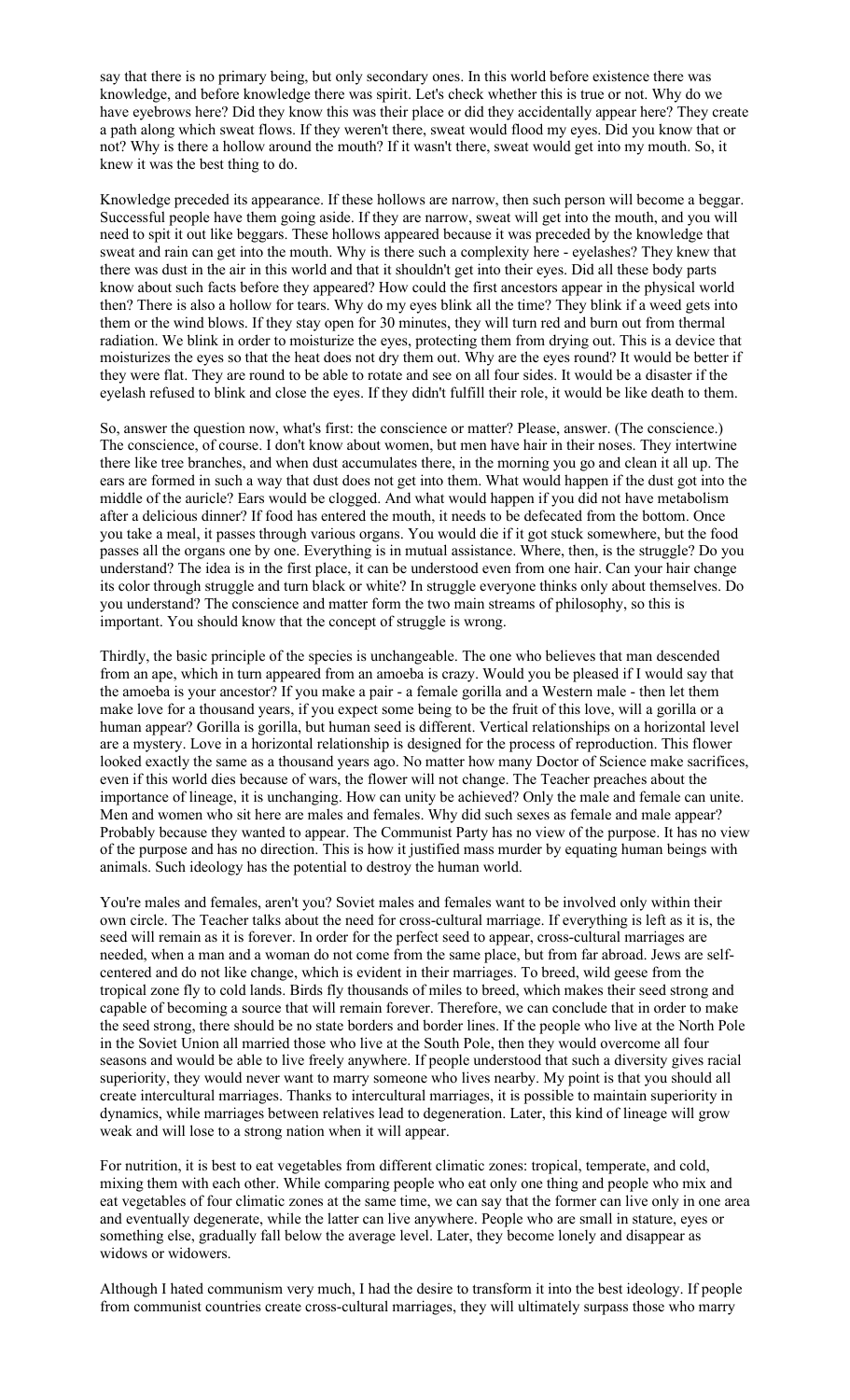say that there is no primary being, but only secondary ones. In this world before existence there was knowledge, and before knowledge there was spirit. Let's check whether this is true or not. Why do we have eyebrows here? Did they know this was their place or did they accidentally appear here? They create a path along which sweat flows. If they weren't there, sweat would flood my eyes. Did you know that or not? Why is there a hollow around the mouth? If it wasn't there, sweat would get into my mouth. So, it knew it was the best thing to do.

Knowledge preceded its appearance. If these hollows are narrow, then such person will become a beggar. Successful people have them going aside. If they are narrow, sweat will get into the mouth, and you will need to spit it out like beggars. These hollows appeared because it was preceded by the knowledge that sweat and rain can get into the mouth. Why is there such a complexity here - eyelashes? They knew that there was dust in the air in this world and that it shouldn't get into their eyes. Did all these body parts know about such facts before they appeared? How could the first ancestors appear in the physical world then? There is also a hollow for tears. Why do my eyes blink all the time? They blink if a weed gets into them or the wind blows. If they stay open for 30 minutes, they will turn red and burn out from thermal radiation. We blink in order to moisturize the eyes, protecting them from drying out. This is a device that moisturizes the eyes so that the heat does not dry them out. Why are the eyes round? It would be better if they were flat. They are round to be able to rotate and see on all four sides. It would be a disaster if the eyelash refused to blink and close the eyes. If they didn't fulfill their role, it would be like death to them.

So, answer the question now, what's first: the conscience or matter? Please, answer. (The conscience.) The conscience, of course. I don't know about women, but men have hair in their noses. They intertwine there like tree branches, and when dust accumulates there, in the morning you go and clean it all up. The ears are formed in such a way that dust does not get into them. What would happen if the dust got into the middle of the auricle? Ears would be clogged. And what would happen if you did not have metabolism after a delicious dinner? If food has entered the mouth, it needs to be defecated from the bottom. Once you take a meal, it passes through various organs. You would die if it got stuck somewhere, but the food passes all the organs one by one. Everything is in mutual assistance. Where, then, is the struggle? Do you understand? The idea is in the first place, it can be understood even from one hair. Can your hair change its color through struggle and turn black or white? In struggle everyone thinks only about themselves. Do you understand? The conscience and matter form the two main streams of philosophy, so this is important. You should know that the concept of struggle is wrong.

Thirdly, the basic principle of the species is unchangeable. The one who believes that man descended from an ape, which in turn appeared from an amoeba is crazy. Would you be pleased if I would say that the amoeba is your ancestor? If you make a pair - a female gorilla and a Western male - then let them make love for a thousand years, if you expect some being to be the fruit of this love, will a gorilla or a human appear? Gorilla is gorilla, but human seed is different. Vertical relationships on a horizontal level are a mystery. Love in a horizontal relationship is designed for the process of reproduction. This flower looked exactly the same as a thousand years ago. No matter how many Doctor of Science make sacrifices, even if this world dies because of wars, the flower will not change. The Teacher preaches about the importance of lineage, it is unchanging. How can unity be achieved? Only the male and female can unite. Men and women who sit here are males and females. Why did such sexes as female and male appear? Probably because they wanted to appear. The Communist Party has no view of the purpose. It has no view of the purpose and has no direction. This is how it justified mass murder by equating human beings with animals. Such ideology has the potential to destroy the human world.

You're males and females, aren't you? Soviet males and females want to be involved only within their own circle. The Teacher talks about the need for cross-cultural marriage. If everything is left as it is, the seed will remain as it is forever. In order for the perfect seed to appear, cross-cultural marriages are needed, when a man and a woman do not come from the same place, but from far abroad. Jews are selfcentered and do not like change, which is evident in their marriages. To breed, wild geese from the tropical zone fly to cold lands. Birds fly thousands of miles to breed, which makes their seed strong and capable of becoming a source that will remain forever. Therefore, we can conclude that in order to make the seed strong, there should be no state borders and border lines. If the people who live at the North Pole in the Soviet Union all married those who live at the South Pole, then they would overcome all four seasons and would be able to live freely anywhere. If people understood that such a diversity gives racial superiority, they would never want to marry someone who lives nearby. My point is that you should all create intercultural marriages. Thanks to intercultural marriages, it is possible to maintain superiority in dynamics, while marriages between relatives lead to degeneration. Later, this kind of lineage will grow weak and will lose to a strong nation when it will appear.

For nutrition, it is best to eat vegetables from different climatic zones: tropical, temperate, and cold, mixing them with each other. While comparing people who eat only one thing and people who mix and eat vegetables of four climatic zones at the same time, we can say that the former can live only in one area and eventually degenerate, while the latter can live anywhere. People who are small in stature, eyes or something else, gradually fall below the average level. Later, they become lonely and disappear as widows or widowers.

Although I hated communism very much, I had the desire to transform it into the best ideology. If people from communist countries create cross-cultural marriages, they will ultimately surpass those who marry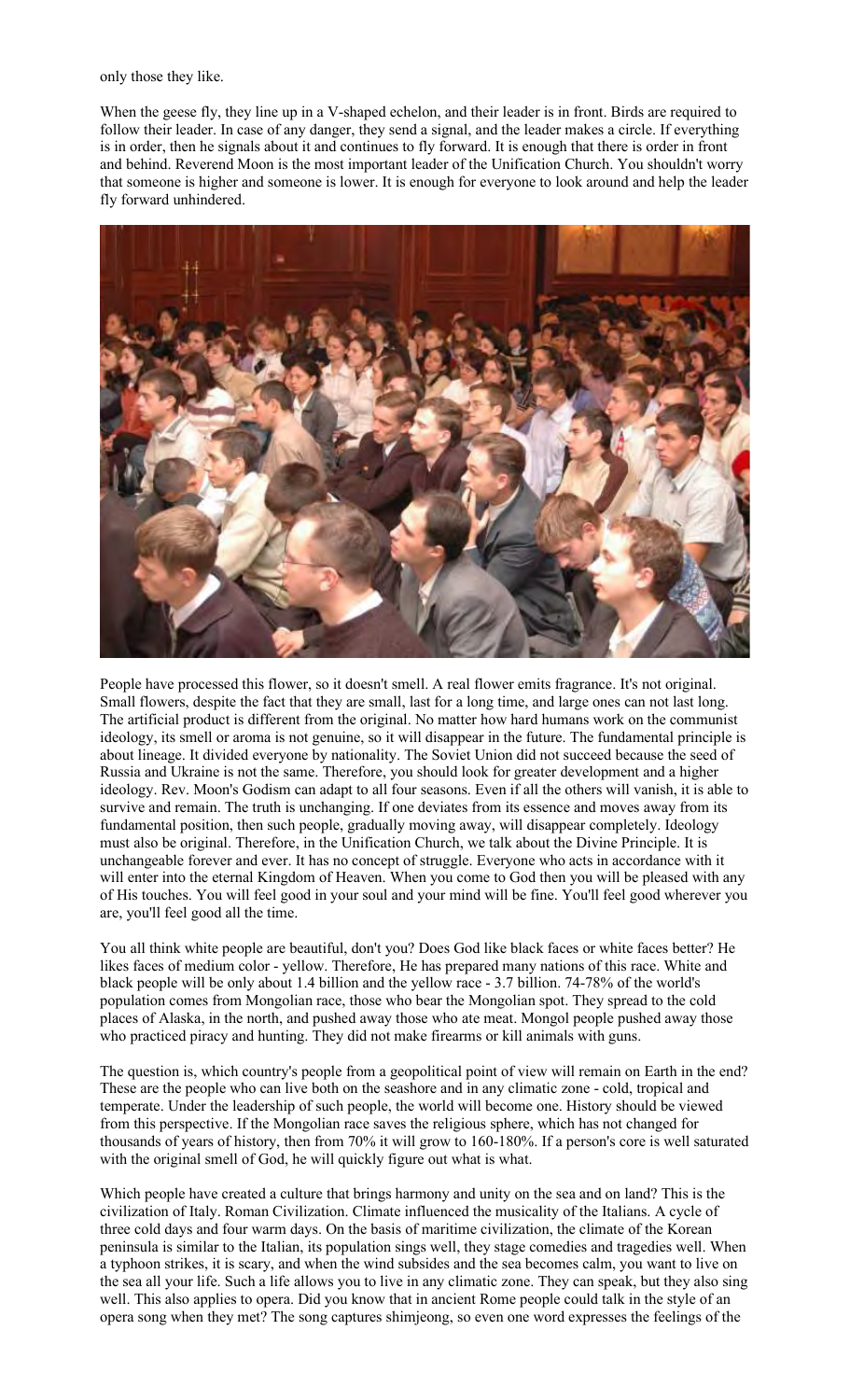only those they like.

When the geese fly, they line up in a V-shaped echelon, and their leader is in front. Birds are required to follow their leader. In case of any danger, they send a signal, and the leader makes a circle. If everything is in order, then he signals about it and continues to fly forward. It is enough that there is order in front and behind. Reverend Moon is the most important leader of the Unification Church. You shouldn't worry that someone is higher and someone is lower. It is enough for everyone to look around and help the leader fly forward unhindered.



People have processed this flower, so it doesn't smell. A real flower emits fragrance. It's not original. Small flowers, despite the fact that they are small, last for a long time, and large ones can not last long. The artificial product is different from the original. No matter how hard humans work on the communist ideology, its smell or aroma is not genuine, so it will disappear in the future. The fundamental principle is about lineage. It divided everyone by nationality. The Soviet Union did not succeed because the seed of Russia and Ukraine is not the same. Therefore, you should look for greater development and a higher ideology. Rev. Moon's Godism can adapt to all four seasons. Even if all the others will vanish, it is able to survive and remain. The truth is unchanging. If one deviates from its essence and moves away from its fundamental position, then such people, gradually moving away, will disappear completely. Ideology must also be original. Therefore, in the Unification Church, we talk about the Divine Principle. It is unchangeable forever and ever. It has no concept of struggle. Everyone who acts in accordance with it will enter into the eternal Kingdom of Heaven. When you come to God then you will be pleased with any of His touches. You will feel good in your soul and your mind will be fine. You'll feel good wherever you are, you'll feel good all the time.

You all think white people are beautiful, don't you? Does God like black faces or white faces better? He likes faces of medium color - yellow. Therefore, He has prepared many nations of this race. White and black people will be only about 1.4 billion and the yellow race - 3.7 billion. 74-78% of the world's population comes from Mongolian race, those who bear the Mongolian spot. They spread to the cold places of Alaska, in the north, and pushed away those who ate meat. Mongol people pushed away those who practiced piracy and hunting. They did not make firearms or kill animals with guns.

The question is, which country's people from a geopolitical point of view will remain on Earth in the end? These are the people who can live both on the seashore and in any climatic zone - cold, tropical and temperate. Under the leadership of such people, the world will become one. History should be viewed from this perspective. If the Mongolian race saves the religious sphere, which has not changed for thousands of years of history, then from 70% it will grow to 160-180%. If a person's core is well saturated with the original smell of God, he will quickly figure out what is what.

Which people have created a culture that brings harmony and unity on the sea and on land? This is the civilization of Italy. Roman Civilization. Climate influenced the musicality of the Italians. A cycle of three cold days and four warm days. On the basis of maritime civilization, the climate of the Korean peninsula is similar to the Italian, its population sings well, they stage comedies and tragedies well. When a typhoon strikes, it is scary, and when the wind subsides and the sea becomes calm, you want to live on the sea all your life. Such a life allows you to live in any climatic zone. They can speak, but they also sing well. This also applies to opera. Did you know that in ancient Rome people could talk in the style of an opera song when they met? The song captures shimjeong, so even one word expresses the feelings of the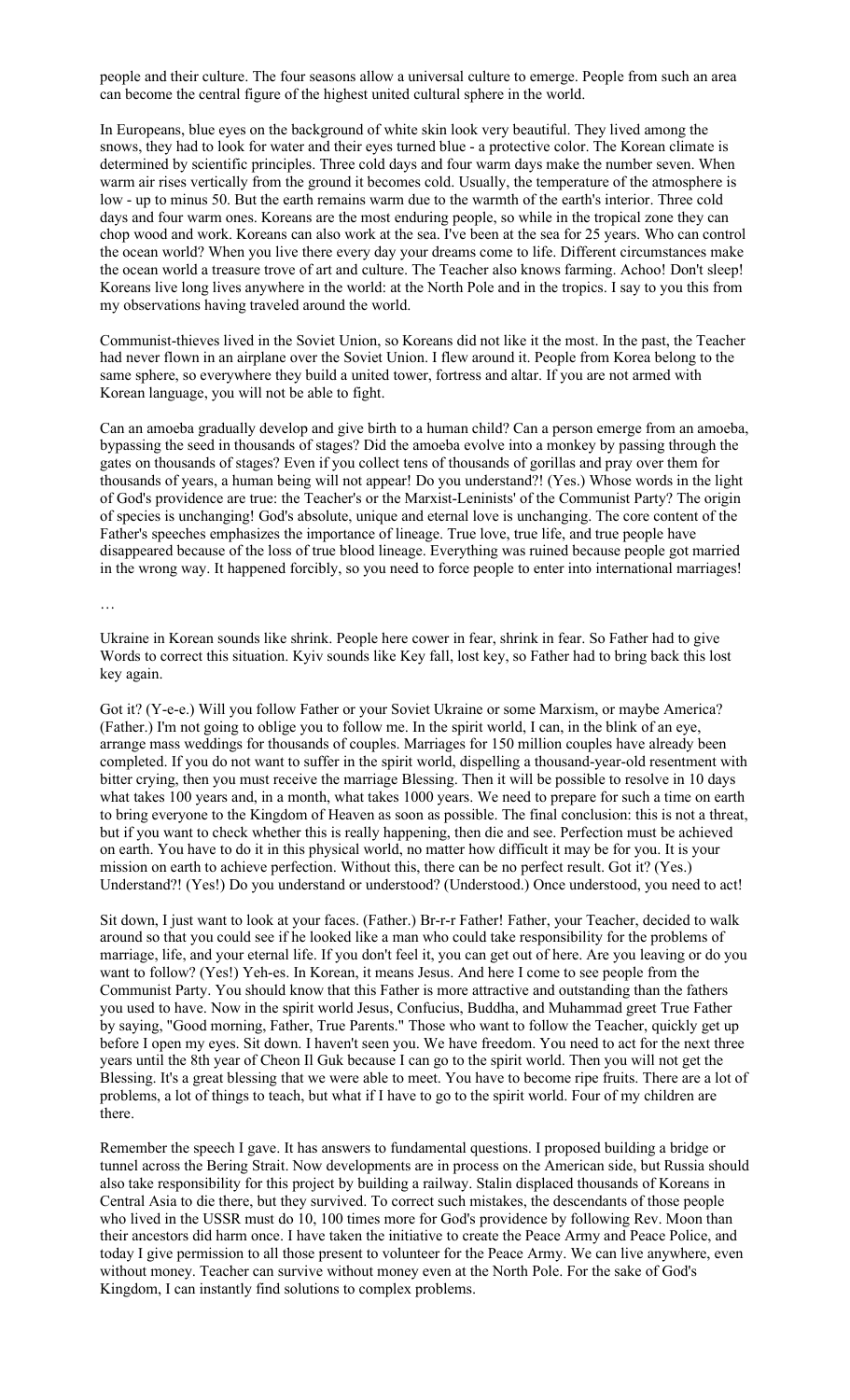people and their culture. The four seasons allow a universal culture to emerge. People from such an area can become the central figure of the highest united cultural sphere in the world.

In Europeans, blue eyes on the background of white skin look very beautiful. They lived among the snows, they had to look for water and their eyes turned blue - a protective color. The Korean climate is determined by scientific principles. Three cold days and four warm days make the number seven. When warm air rises vertically from the ground it becomes cold. Usually, the temperature of the atmosphere is low - up to minus 50. But the earth remains warm due to the warmth of the earth's interior. Three cold days and four warm ones. Koreans are the most enduring people, so while in the tropical zone they can chop wood and work. Koreans can also work at the sea. I've been at the sea for 25 years. Who can control the ocean world? When you live there every day your dreams come to life. Different circumstances make the ocean world a treasure trove of art and culture. The Teacher also knows farming. Achoo! Don't sleep! Koreans live long lives anywhere in the world: at the North Pole and in the tropics. I say to you this from my observations having traveled around the world.

Communist-thieves lived in the Soviet Union, so Koreans did not like it the most. In the past, the Teacher had never flown in an airplane over the Soviet Union. I flew around it. People from Korea belong to the same sphere, so everywhere they build a united tower, fortress and altar. If you are not armed with Korean language, you will not be able to fight.

Can an amoeba gradually develop and give birth to a human child? Can a person emerge from an amoeba, bypassing the seed in thousands of stages? Did the amoeba evolve into a monkey by passing through the gates on thousands of stages? Even if you collect tens of thousands of gorillas and pray over them for thousands of years, a human being will not appear! Do you understand?! (Yes.) Whose words in the light of God's providence are true: the Teacher's or the Marxist-Leninists' of the Communist Party? The origin of species is unchanging! God's absolute, unique and eternal love is unchanging. The core content of the Father's speeches emphasizes the importance of lineage. True love, true life, and true people have disappeared because of the loss of true blood lineage. Everything was ruined because people got married in the wrong way. It happened forcibly, so you need to force people to enter into international marriages!

…

Ukraine in Korean sounds like shrink. People here cower in fear, shrink in fear. So Father had to give Words to correct this situation. Kyiv sounds like Key fall, lost key, so Father had to bring back this lost key again.

Got it? (Y-e-e.) Will you follow Father or your Soviet Ukraine or some Marxism, or maybe America? (Father.) I'm not going to oblige you to follow me. In the spirit world, I can, in the blink of an eye, arrange mass weddings for thousands of couples. Marriages for 150 million couples have already been completed. If you do not want to suffer in the spirit world, dispelling a thousand-year-old resentment with bitter crying, then you must receive the marriage Blessing. Then it will be possible to resolve in 10 days what takes 100 years and, in a month, what takes 1000 years. We need to prepare for such a time on earth to bring everyone to the Kingdom of Heaven as soon as possible. The final conclusion: this is not a threat, but if you want to check whether this is really happening, then die and see. Perfection must be achieved on earth. You have to do it in this physical world, no matter how difficult it may be for you. It is your mission on earth to achieve perfection. Without this, there can be no perfect result. Got it? (Yes.) Understand?! (Yes!) Do you understand or understood? (Understood.) Once understood, you need to act!

Sit down, I just want to look at your faces. (Father.) Br-r-r Father! Father, your Teacher, decided to walk around so that you could see if he looked like a man who could take responsibility for the problems of marriage, life, and your eternal life. If you don't feel it, you can get out of here. Are you leaving or do you want to follow? (Yes!) Yeh-es. In Korean, it means Jesus. And here I come to see people from the Communist Party. You should know that this Father is more attractive and outstanding than the fathers you used to have. Now in the spirit world Jesus, Confucius, Buddha, and Muhammad greet True Father by saying, "Good morning, Father, True Parents." Those who want to follow the Teacher, quickly get up before I open my eyes. Sit down. I haven't seen you. We have freedom. You need to act for the next three years until the 8th year of Cheon Il Guk because I can go to the spirit world. Then you will not get the Blessing. It's a great blessing that we were able to meet. You have to become ripe fruits. There are a lot of problems, a lot of things to teach, but what if I have to go to the spirit world. Four of my children are there.

Remember the speech I gave. It has answers to fundamental questions. I proposed building a bridge or tunnel across the Bering Strait. Now developments are in process on the American side, but Russia should also take responsibility for this project by building a railway. Stalin displaced thousands of Koreans in Central Asia to die there, but they survived. To correct such mistakes, the descendants of those people who lived in the USSR must do 10, 100 times more for God's providence by following Rev. Moon than their ancestors did harm once. I have taken the initiative to create the Peace Army and Peace Police, and today I give permission to all those present to volunteer for the Peace Army. We can live anywhere, even without money. Teacher can survive without money even at the North Pole. For the sake of God's Kingdom, I can instantly find solutions to complex problems.